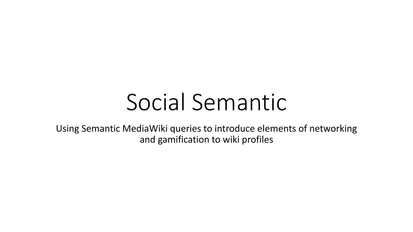# Social Semantic

Using Semantic MediaWiki queries to introduce elements of networking and gamification to wiki profiles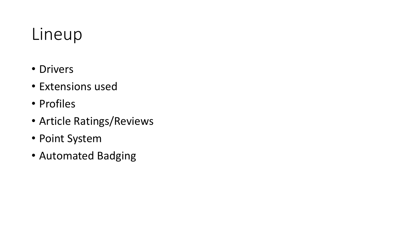## Lineup

- Drivers
- Extensions used
- Profiles
- Article Ratings/Reviews
- Point System
- Automated Badging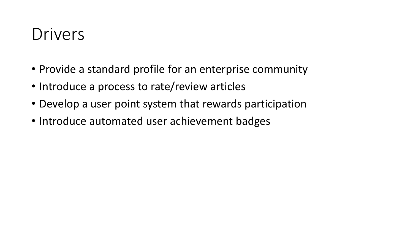#### Drivers

- Provide a standard profile for an enterprise community
- Introduce a process to rate/review articles
- Develop a user point system that rewards participation
- Introduce automated user achievement badges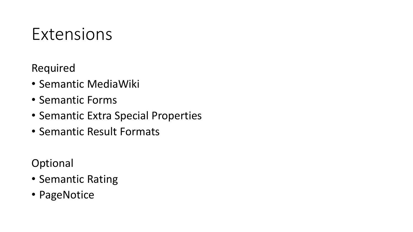#### Extensions

Required

- Semantic MediaWiki
- Semantic Forms
- Semantic Extra Special Properties
- Semantic Result Formats

Optional

- Semantic Rating
- PageNotice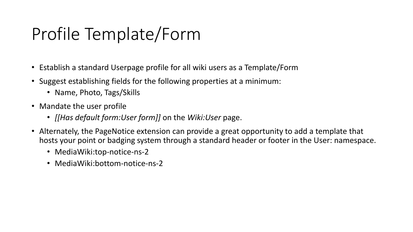# Profile Template/Form

- Establish a standard Userpage profile for all wiki users as a Template/Form
- Suggest establishing fields for the following properties at a minimum:
	- Name, Photo, Tags/Skills
- Mandate the user profile
	- *[[Has default form:User form]]* on the *Wiki:User* page.
- Alternately, the PageNotice extension can provide a great opportunity to add a template that hosts your point or badging system through a standard header or footer in the User: namespace.
	- MediaWiki:top-notice-ns-2
	- MediaWiki:bottom-notice-ns-2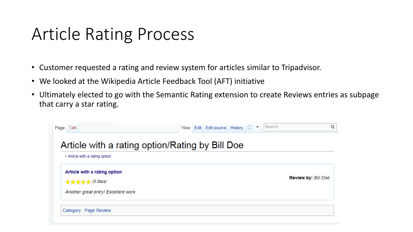#### Article Rating Process

- Customer requested a rating and review system for articles similar to Tripadvisor.
- We looked at the Wikipedia Article Feedback Tool (AFT) initiative
- Ultimately elected to go with the Semantic Rating extension to create Reviews entries as subpage that carry a star rating.

| Page<br>Talk |                                                            |                                                 |  | View   Edit   Edit source   History $ \hat{\chi} $ $\blacktriangledown$ |  | Search |                            |
|--------------|------------------------------------------------------------|-------------------------------------------------|--|-------------------------------------------------------------------------|--|--------|----------------------------|
|              | $\leq$ Article with a rating option                        | Article with a rating option/Rating by Bill Doe |  |                                                                         |  |        |                            |
|              | Article with a rating option<br><b>x x x x x</b> (5 Stars) |                                                 |  |                                                                         |  |        | <b>Review by: Bill Doe</b> |
|              | Another great entry! Excellent work                        |                                                 |  |                                                                         |  |        |                            |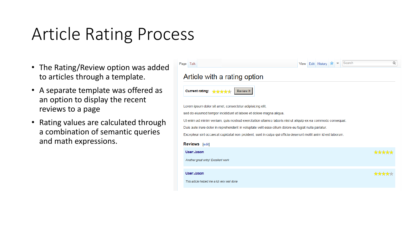## Article Rating Process

- The Rating/Review option was added to articles through a template.
- A separate template was offered as an option to display the recent reviews to a page
- Rating values are calculated through a combination of semantic queries and math expressions.

| Page<br>Talk                                                                                                   | View | Edit History |  | Search<br>Q |
|----------------------------------------------------------------------------------------------------------------|------|--------------|--|-------------|
| Article with a rating option                                                                                   |      |              |  |             |
| <b>Current rating:</b><br>Review It<br>मौजी है                                                                 |      |              |  |             |
| Lorem ipsum dolor sit amet, consectetur adipisicing elit,                                                      |      |              |  |             |
| sed do eiusmod tempor incididunt ut labore et dolore magna aliqua.                                             |      |              |  |             |
| Ut enim ad minim veniam, quis nostrud exercitation ullamco laboris nisi ut aliquip ex ea commodo consequat.    |      |              |  |             |
| Duis aute irure dolor in reprehenderit in voluptate velit esse cillum dolore eu fugiat nulla pariatur.         |      |              |  |             |
| Excepteur sint occaecat cupidatat non proident, sunt in culpa qui officia deserunt mollit anim id est laborum. |      |              |  |             |
| <b>Reviews</b> [edit]                                                                                          |      |              |  |             |
| User:Jason                                                                                                     |      |              |  |             |
| Another great entry! Excellent work                                                                            |      |              |  |             |
| User:Jason.                                                                                                    |      |              |  |             |
| This article helped me a lot very well done                                                                    |      |              |  |             |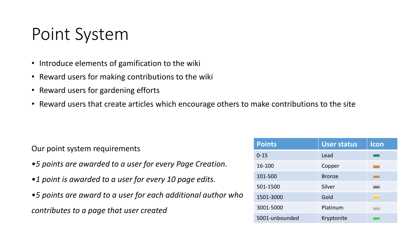### Point System

- Introduce elements of gamification to the wiki
- Reward users for making contributions to the wiki
- Reward users for gardening efforts
- Reward users that create articles which encourage others to make contributions to the site

Our point system requirements

- •*5 points are awarded to a user for every Page Creation.*
- •*1 point is awarded to a user for every 10 page edits.*
- •*5 points are award to a user for each additional author who contributes to a page that user created*

| <b>Points</b>  | <b>User status</b> | Icon |
|----------------|--------------------|------|
| $0 - 15$       | Lead               | -    |
| 16-100         | Copper             |      |
| 101-500        | <b>Bronze</b>      | ٠    |
| 501-1500       | Silver             | -    |
| 1501-3000      | Gold               |      |
| 3001-5000      | Platinum           |      |
| 5001-unbounded | Kryptonite         |      |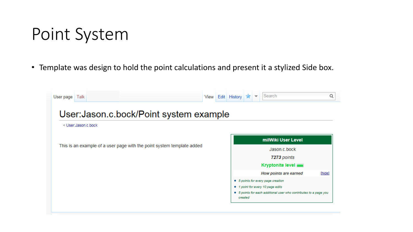#### Point System

• Template was design to hold the point calculations and present it a stylized Side box.

| User page | Talk                                                                   |                                         |  |  | View Edit History |              |  | Search                                                            | Q      |  |  |
|-----------|------------------------------------------------------------------------|-----------------------------------------|--|--|-------------------|--------------|--|-------------------------------------------------------------------|--------|--|--|
|           |                                                                        | User: Jason.c.bock/Point system example |  |  |                   |              |  |                                                                   |        |  |  |
|           | < User:Jason.c.bock                                                    |                                         |  |  |                   |              |  |                                                                   |        |  |  |
|           |                                                                        |                                         |  |  |                   |              |  | milWiki User Level                                                |        |  |  |
|           | This is an example of a user page with the point system template added |                                         |  |  |                   | Jason.c.bock |  |                                                                   |        |  |  |
|           |                                                                        |                                         |  |  |                   |              |  | 7273 points                                                       |        |  |  |
|           |                                                                        |                                         |  |  |                   |              |  | <b>Kryptonite level</b>                                           |        |  |  |
|           |                                                                        |                                         |  |  |                   |              |  | How points are earned                                             | [hide] |  |  |
|           |                                                                        |                                         |  |  |                   |              |  | • 5 points for every page creation                                |        |  |  |
|           |                                                                        |                                         |  |  |                   |              |  | • 1 point for every 10 page edits                                 |        |  |  |
|           |                                                                        |                                         |  |  |                   | created      |  | · 5 points for each additional user who contributes to a page you |        |  |  |
|           |                                                                        |                                         |  |  |                   |              |  |                                                                   |        |  |  |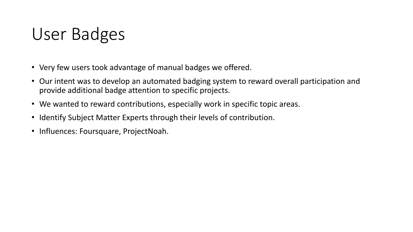#### User Badges

- Very few users took advantage of manual badges we offered.
- Our intent was to develop an automated badging system to reward overall participation and provide additional badge attention to specific projects.
- We wanted to reward contributions, especially work in specific topic areas.
- Identify Subject Matter Experts through their levels of contribution.
- Influences: Foursquare, ProjectNoah.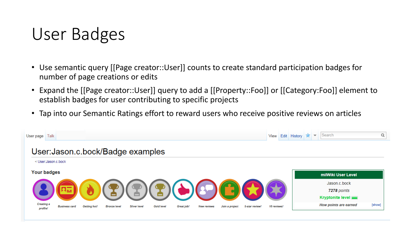#### User Badges

- Use semantic query [[Page creator::User]] counts to create standard participation badges for number of page creations or edits
- Expand the [[Page creator::User]] query to add a [[Property::Foo]] or [[Category:Foo]] element to establish badges for user contributing to specific projects
- Tap into our Semantic Ratings effort to reward users who receive positive reviews on articles

| User page                     | Talk                 |              |                                   |                     |            |            |                    |                |                |             | View Edit History | $\overline{\phantom{a}}$ | Search                  | Q      |
|-------------------------------|----------------------|--------------|-----------------------------------|---------------------|------------|------------|--------------------|----------------|----------------|-------------|-------------------|--------------------------|-------------------------|--------|
|                               |                      |              | User: Jason.c.bock/Badge examples |                     |            |            |                    |                |                |             |                   |                          |                         |        |
|                               | < User:Jason.c.bock  |              |                                   |                     |            |            |                    |                |                |             |                   |                          |                         |        |
|                               | <b>Your badges</b>   |              |                                   |                     |            |            |                    |                |                |             |                   |                          | milWiki User Level      |        |
|                               |                      |              |                                   |                     |            |            |                    |                |                |             |                   |                          | Jason.c.bock            |        |
|                               |                      |              |                                   |                     |            |            |                    |                |                |             |                   |                          | 7278 points             |        |
|                               |                      |              |                                   |                     |            |            |                    |                |                |             |                   |                          | <b>Kryptonite level</b> |        |
| <b>Creating a</b><br>profile! | <b>Business card</b> | Getting hot! | <b>Bronze level</b>               | <b>Silver level</b> | Gold level | Great job! | <b>New reviews</b> | Join a project | 5-star review! | 10 reviews! |                   |                          | How points are earned   | [show] |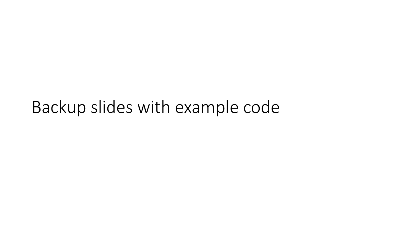#### Backup slides with example code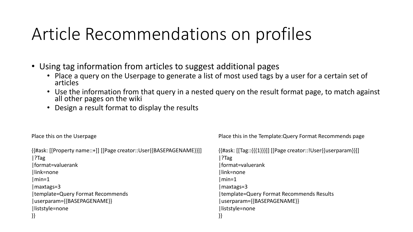## Article Recommendations on profiles

- Using tag information from articles to suggest additional pages
	- Place a query on the Userpage to generate a list of most used tags by a user for a certain set of articles
	- Use the information from that query in a nested query on the result format page, to match against all other pages on the wiki
	- Design a result format to display the results

Place this on the Userpage

| {{#ask: [[Property name::+]] [[Page creator::User{{BASEPAGENAME}}]] |
|---------------------------------------------------------------------|
| $ ?$ Tag                                                            |
| format=valuerank                                                    |
| link=none                                                           |
| $\mid$ min=1                                                        |
| $\lfloor$ maxtags=3                                                 |
| template=Query Format Recommends                                    |
| userparam={{BASEPAGENAME}}                                          |
| liststyle=none                                                      |
| $\{\}$                                                              |

Place this in the Template:Query Format Recommends page

{{#ask: [[Tag::{{{1}}}]] [[Page creator::!User{{userparam}}]] |?Tag |format=valuerank |link=none |min=1 |maxtags=3 |template=Query Format Recommends Results |userparam={{BASEPAGENAME}} |liststyle=none }}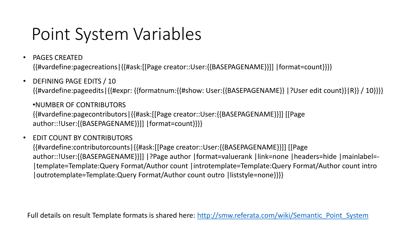## Point System Variables

- PAGES CREATED {{#vardefine:pagecreations|{{#ask:[[Page creator::User:{{BASEPAGENAME}}]] |format=count}}}}
- DEFINING PAGE EDITS / 10 {{#vardefine:pageedits|{{#expr: {{formatnum:{{#show: User:{{BASEPAGENAME}} |?User edit count}}|R}} / 10}}}}

•NUMBER OF CONTRIBUTORS {{#vardefine:pagecontributors|{{#ask:[[Page creator::User:{{BASEPAGENAME}}]] [[Page author::!User:{{BASEPAGENAME}}]] |format=count}}}}

• EDIT COUNT BY CONTRIBUTORS

{{#vardefine:contributorcounts|{{#ask:[[Page creator::User:{{BASEPAGENAME}}]] [[Page author::!User:{{BASEPAGENAME}}]] |?Page author |format=valuerank |link=none |headers=hide |mainlabel=- |template=Template:Query Format/Author count |introtemplate=Template:Query Format/Author count intro |outrotemplate=Template:Query Format/Author count outro |liststyle=none}}}}

Full details on result Template formats is shared here: [http://smw.referata.com/wiki/Semantic\\_Point\\_System](http://smw.referata.com/wiki/Semantic_Point_System)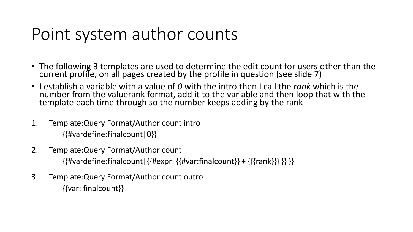#### Point system author counts

- The following 3 templates are used to determine the edit count for users other than the current profile, on all pages created by the profile in question (see slide 7)
- I establish a variable with a value of *0* with the intro then I call the *rank* which is the number from the valuerank format, add it to the variable and then loop that with the template each time through so the number keeps adding by the rank
- 1. Template:Query Format/Author count intro {{#vardefine:finalcount|0}}
- 2. Template:Query Format/Author count

{{#vardefine:finalcount|{{#expr: {{#var:finalcount}} + {{{rank}}} }} }}

3. Template:Query Format/Author count outro {{var: finalcount}}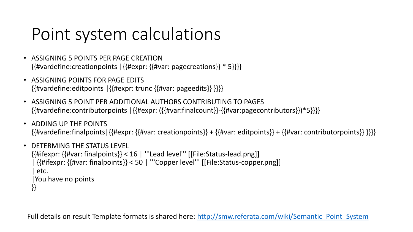# Point system calculations

- ASSIGNING 5 POINTS PER PAGE CREATION {{#vardefine:creationpoints |{{#expr: {{#var: pagecreations}} \* 5}}}}
- ASSIGNING POINTS FOR PAGE EDITS {{#vardefine:editpoints |{{#expr: trunc {{#var: pageedits}} }}}}
- ASSIGNING 5 POINT PER ADDITIONAL AUTHORS CONTRIBUTING TO PAGES {{#vardefine:contributorpoints |{{#expr: ({{#var:finalcount}}-{{#var:pagecontributors}})\*5}}}}
- ADDING UP THE POINTS  $\{\{\#variance: final points\} \{\{\#expr: \{f\#var: creationpoints\}\} + \{\{\#var: editpoints\}\} + \{\{\#var: contributropolis\}\}\}$

```
• DETERMING THE STATUS LEVEL
{{#ifexpr: {{#var: finalpoints}} < 16 | '''Lead level''' [[File:Status-lead.png]]
 | {{#ifexpr: {{#var: finalpoints}} < 50 | '''Copper level''' [[File:Status-copper.png]]
  | etc.
 |You have no points
}}
```
Full details on result Template formats is shared here: [http://smw.referata.com/wiki/Semantic\\_Point\\_System](http://smw.referata.com/wiki/Semantic_Point_System)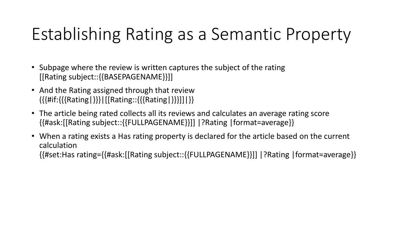# Establishing Rating as a Semantic Property

- Subpage where the review is written captures the subject of the rating [[Rating subject::{{BASEPAGENAME}}]]
- And the Rating assigned through that review ({{#if:{{{Rating|}}}|[[Rating::{{{Rating|}}}]]|}}
- The article being rated collects all its reviews and calculates an average rating score {{#ask:[[Rating subject::{{FULLPAGENAME}}]] |?Rating |format=average}}
- When a rating exists a Has rating property is declared for the article based on the current calculation {{#set:Has rating={{#ask:[[Rating subject::{{FULLPAGENAME}}]] |?Rating |format=average}}